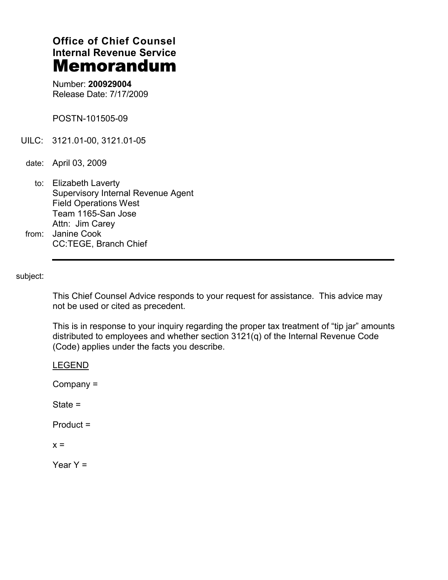# **Office of Chief Counsel Internal Revenue Service** Memorandum

Number: **200929004** Release Date: 7/17/2009

POSTN-101505-09

- UILC: 3121.01-00, 3121.01-05
- date: April 03, 2009
- to: Elizabeth Laverty Supervisory Internal Revenue Agent Field Operations West Team 1165-San Jose Attn: Jim Carey from: Janine Cook
	- CC:TEGE, Branch Chief

subject:

This Chief Counsel Advice responds to your request for assistance. This advice may not be used or cited as precedent.

This is in response to your inquiry regarding the proper tax treatment of "tip jar" amounts distributed to employees and whether section 3121(q) of the Internal Revenue Code (Code) applies under the facts you describe.

LEGEND

 $Company =$ 

 $State =$ 

 $Product =$ 

 $x =$ 

Year  $Y =$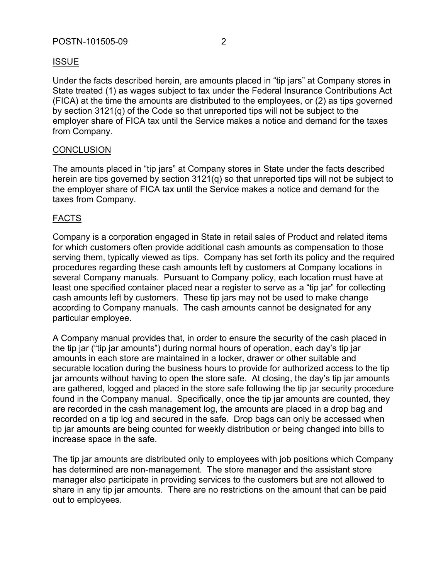Under the facts described herein, are amounts placed in "tip jars" at Company stores in State treated (1) as wages subject to tax under the Federal Insurance Contributions Act (FICA) at the time the amounts are distributed to the employees, or (2) as tips governed by section 3121(q) of the Code so that unreported tips will not be subject to the employer share of FICA tax until the Service makes a notice and demand for the taxes from Company.

### **CONCLUSION**

The amounts placed in "tip jars" at Company stores in State under the facts described herein are tips governed by section 3121(q) so that unreported tips will not be subject to the employer share of FICA tax until the Service makes a notice and demand for the taxes from Company.

### FACTS

Company is a corporation engaged in State in retail sales of Product and related items for which customers often provide additional cash amounts as compensation to those serving them, typically viewed as tips. Company has set forth its policy and the required procedures regarding these cash amounts left by customers at Company locations in several Company manuals. Pursuant to Company policy, each location must have at least one specified container placed near a register to serve as a "tip jar" for collecting cash amounts left by customers. These tip jars may not be used to make change according to Company manuals. The cash amounts cannot be designated for any particular employee.

A Company manual provides that, in order to ensure the security of the cash placed in the tip jar ("tip jar amounts") during normal hours of operation, each day's tip jar amounts in each store are maintained in a locker, drawer or other suitable and securable location during the business hours to provide for authorized access to the tip jar amounts without having to open the store safe. At closing, the day's tip jar amounts are gathered, logged and placed in the store safe following the tip jar security procedure found in the Company manual. Specifically, once the tip jar amounts are counted, they are recorded in the cash management log, the amounts are placed in a drop bag and recorded on a tip log and secured in the safe. Drop bags can only be accessed when tip jar amounts are being counted for weekly distribution or being changed into bills to increase space in the safe.

The tip jar amounts are distributed only to employees with job positions which Company has determined are non-management. The store manager and the assistant store manager also participate in providing services to the customers but are not allowed to share in any tip jar amounts. There are no restrictions on the amount that can be paid out to employees.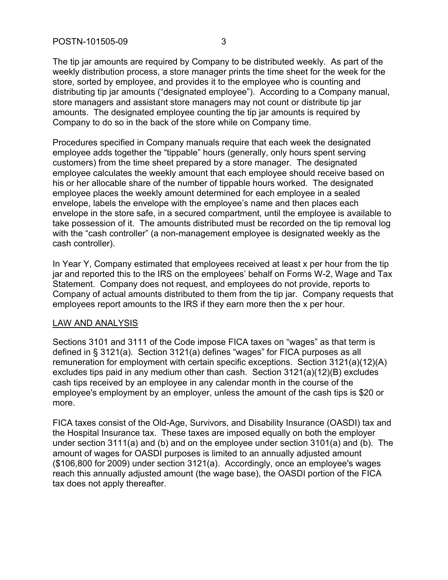The tip jar amounts are required by Company to be distributed weekly. As part of the weekly distribution process, a store manager prints the time sheet for the week for the store, sorted by employee, and provides it to the employee who is counting and distributing tip jar amounts ("designated employee"). According to a Company manual, store managers and assistant store managers may not count or distribute tip jar amounts. The designated employee counting the tip jar amounts is required by Company to do so in the back of the store while on Company time.

Procedures specified in Company manuals require that each week the designated employee adds together the "tippable" hours (generally, only hours spent serving customers) from the time sheet prepared by a store manager. The designated employee calculates the weekly amount that each employee should receive based on his or her allocable share of the number of tippable hours worked. The designated employee places the weekly amount determined for each employee in a sealed envelope, labels the envelope with the employee's name and then places each envelope in the store safe, in a secured compartment, until the employee is available to take possession of it. The amounts distributed must be recorded on the tip removal log with the "cash controller" (a non-management employee is designated weekly as the cash controller).

In Year Y, Company estimated that employees received at least x per hour from the tip jar and reported this to the IRS on the employees' behalf on Forms W-2, Wage and Tax Statement. Company does not request, and employees do not provide, reports to Company of actual amounts distributed to them from the tip jar. Company requests that employees report amounts to the IRS if they earn more then the x per hour.

#### LAW AND ANALYSIS

Sections 3101 and 3111 of the Code impose FICA taxes on "wages" as that term is defined in § 3121(a). Section 3121(a) defines "wages" for FICA purposes as all remuneration for employment with certain specific exceptions. Section 3121(a)(12)(A) excludes tips paid in any medium other than cash. Section 3121(a)(12)(B) excludes cash tips received by an employee in any calendar month in the course of the employee's employment by an employer, unless the amount of the cash tips is \$20 or more.

FICA taxes consist of the Old-Age, Survivors, and Disability Insurance (OASDI) tax and the Hospital Insurance tax. These taxes are imposed equally on both the employer under section 3111(a) and (b) and on the employee under section 3101(a) and (b). The amount of wages for OASDI purposes is limited to an annually adjusted amount (\$106,800 for 2009) under section 3121(a). Accordingly, once an employee's wages reach this annually adjusted amount (the wage base), the OASDI portion of the FICA tax does not apply thereafter.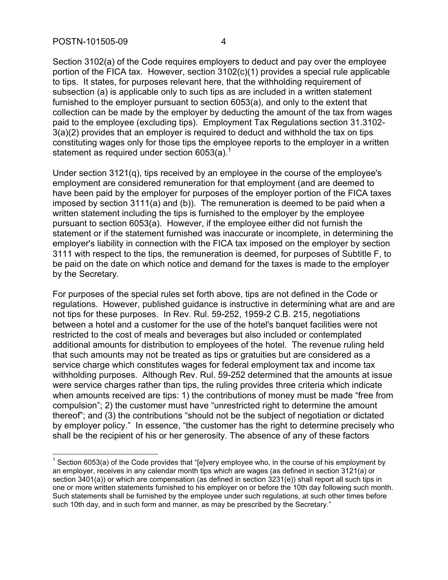Section 3102(a) of the Code requires employers to deduct and pay over the employee portion of the FICA tax. However, section 3102(c)(1) provides a special rule applicable to tips. It states, for purposes relevant here, that the withholding requirement of subsection (a) is applicable only to such tips as are included in a written statement furnished to the employer pursuant to section 6053(a), and only to the extent that collection can be made by the employer by deducting the amount of the tax from wages paid to the employee (excluding tips). Employment Tax Regulations section 31.3102- 3(a)(2) provides that an employer is required to deduct and withhold the tax on tips constituting wages only for those tips the employee reports to the employer in a written statement as required under section  $6053(a)$ <sup>1</sup>

Under section 3121(q), tips received by an employee in the course of the employee's employment are considered remuneration for that employment (and are deemed to have been paid by the employer for purposes of the employer portion of the FICA taxes imposed by section 3111(a) and (b)). The remuneration is deemed to be paid when a written statement including the tips is furnished to the employer by the employee pursuant to section 6053(a). However, if the employee either did not furnish the statement or if the statement furnished was inaccurate or incomplete, in determining the employer's liability in connection with the FICA tax imposed on the employer by section 3111 with respect to the tips, the remuneration is deemed, for purposes of Subtitle F, to be paid on the date on which notice and demand for the taxes is made to the employer by the Secretary.

For purposes of the special rules set forth above, tips are not defined in the Code or regulations. However, published guidance is instructive in determining what are and are not tips for these purposes. In Rev. Rul. 59-252, 1959-2 C.B. 215, negotiations between a hotel and a customer for the use of the hotel's banquet facilities were not restricted to the cost of meals and beverages but also included or contemplated additional amounts for distribution to employees of the hotel. The revenue ruling held that such amounts may not be treated as tips or gratuities but are considered as a service charge which constitutes wages for federal employment tax and income tax withholding purposes. Although Rev. Rul. 59-252 determined that the amounts at issue were service charges rather than tips, the ruling provides three criteria which indicate when amounts received are tips: 1) the contributions of money must be made "free from compulsion"; 2) the customer must have "unrestricted right to determine the amount thereof"; and (3) the contributions "should not be the subject of negotiation or dictated by employer policy." In essence, "the customer has the right to determine precisely who shall be the recipient of his or her generosity. The absence of any of these factors

 $1$  Section 6053(a) of the Code provides that "[e]very employee who, in the course of his employment by an employer, receives in any calendar month tips which are wages (as defined in section 3121(a) or section 3401(a)) or which are compensation (as defined in section 3231(e)) shall report all such tips in one or more written statements furnished to his employer on or before the 10th day following such month. Such statements shall be furnished by the employee under such regulations, at such other times before such 10th day, and in such form and manner, as may be prescribed by the Secretary."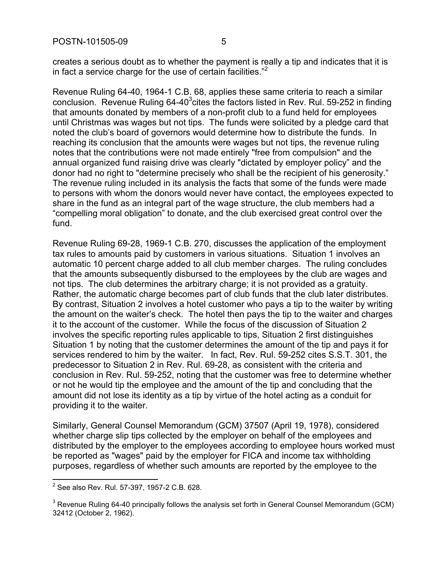creates a serious doubt as to whether the payment is really a tip and indicates that it is in fact a service charge for the use of certain facilities. $<sup>2</sup>$ </sup>

Revenue Ruling 64-40, 1964-1 C.B. 68, applies these same criteria to reach a similar conclusion. Revenue Ruling 64-40 $3$ cites the factors listed in Rev. Rul. 59-252 in finding that amounts donated by members of a non-profit club to a fund held for employees until Christmas was wages but not tips. The funds were solicited by a pledge card that noted the club's board of governors would determine how to distribute the funds. In reaching its conclusion that the amounts were wages but not tips, the revenue ruling notes that the contributions were not made entirely "free from compulsion" and the annual organized fund raising drive was clearly "dictated by employer policy" and the donor had no right to "determine precisely who shall be the recipient of his generosity." The revenue ruling included in its analysis the facts that some of the funds were made to persons with whom the donors would never have contact, the employees expected to share in the fund as an integral part of the wage structure, the club members had a "compelling moral obligation" to donate, and the club exercised great control over the fund.

Revenue Ruling 69-28, 1969-1 C.B. 270, discusses the application of the employment tax rules to amounts paid by customers in various situations. Situation 1 involves an automatic 10 percent charge added to all club member charges. The ruling concludes that the amounts subsequently disbursed to the employees by the club are wages and not tips. The club determines the arbitrary charge; it is not provided as a gratuity. Rather, the automatic charge becomes part of club funds that the club later distributes. By contrast, Situation 2 involves a hotel customer who pays a tip to the waiter by writing the amount on the waiter's check. The hotel then pays the tip to the waiter and charges it to the account of the customer. While the focus of the discussion of Situation 2 involves the specific reporting rules applicable to tips, Situation 2 first distinguishes Situation 1 by noting that the customer determines the amount of the tip and pays it for services rendered to him by the waiter. In fact, Rev. Rul. 59-252 cites S.S.T. 301, the predecessor to Situation 2 in Rev. Rul. 69-28, as consistent with the criteria and conclusion in Rev. Rul. 59-252, noting that the customer was free to determine whether or not he would tip the employee and the amount of the tip and concluding that the amount did not lose its identity as a tip by virtue of the hotel acting as a conduit for providing it to the waiter.

Similarly, General Counsel Memorandum (GCM) 37507 (April 19, 1978), considered whether charge slip tips collected by the employer on behalf of the employees and distributed by the employer to the employees according to employee hours worked must be reported as "wages" paid by the employer for FICA and income tax withholding purposes, regardless of whether such amounts are reported by the employee to the

<sup>2</sup> See also Rev. Rul. 57-397, 1957-2 C.B. 628.

 $3$  Revenue Ruling 64-40 principally follows the analysis set forth in General Counsel Memorandum (GCM) 32412 (October 2, 1962).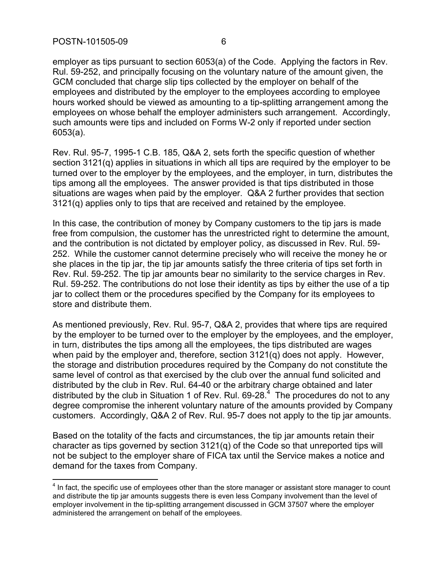employer as tips pursuant to section 6053(a) of the Code. Applying the factors in Rev. Rul. 59-252, and principally focusing on the voluntary nature of the amount given, the GCM concluded that charge slip tips collected by the employer on behalf of the employees and distributed by the employer to the employees according to employee hours worked should be viewed as amounting to a tip-splitting arrangement among the employees on whose behalf the employer administers such arrangement. Accordingly, such amounts were tips and included on Forms W-2 only if reported under section 6053(a).

Rev. Rul. 95-7, 1995-1 C.B. 185, Q&A 2, sets forth the specific question of whether section 3121(q) applies in situations in which all tips are required by the employer to be turned over to the employer by the employees, and the employer, in turn, distributes the tips among all the employees. The answer provided is that tips distributed in those situations are wages when paid by the employer. Q&A 2 further provides that section 3121(q) applies only to tips that are received and retained by the employee.

In this case, the contribution of money by Company customers to the tip jars is made free from compulsion, the customer has the unrestricted right to determine the amount, and the contribution is not dictated by employer policy, as discussed in Rev. Rul. 59- 252. While the customer cannot determine precisely who will receive the money he or she places in the tip jar, the tip jar amounts satisfy the three criteria of tips set forth in Rev. Rul. 59-252. The tip jar amounts bear no similarity to the service charges in Rev. Rul. 59-252. The contributions do not lose their identity as tips by either the use of a tip jar to collect them or the procedures specified by the Company for its employees to store and distribute them.

As mentioned previously, Rev. Rul. 95-7, Q&A 2, provides that where tips are required by the employer to be turned over to the employer by the employees, and the employer, in turn, distributes the tips among all the employees, the tips distributed are wages when paid by the employer and, therefore, section 3121(q) does not apply. However, the storage and distribution procedures required by the Company do not constitute the same level of control as that exercised by the club over the annual fund solicited and distributed by the club in Rev. Rul. 64-40 or the arbitrary charge obtained and later distributed by the club in Situation 1 of Rev. Rul. 69-28. $4$  The procedures do not to any degree compromise the inherent voluntary nature of the amounts provided by Company customers. Accordingly, Q&A 2 of Rev. Rul. 95-7 does not apply to the tip jar amounts.

Based on the totality of the facts and circumstances, the tip jar amounts retain their character as tips governed by section 3121(q) of the Code so that unreported tips will not be subject to the employer share of FICA tax until the Service makes a notice and demand for the taxes from Company.

 $<sup>4</sup>$  In fact, the specific use of employees other than the store manager or assistant store manager to count</sup> and distribute the tip jar amounts suggests there is even less Company involvement than the level of employer involvement in the tip-splitting arrangement discussed in GCM 37507 where the employer administered the arrangement on behalf of the employees.